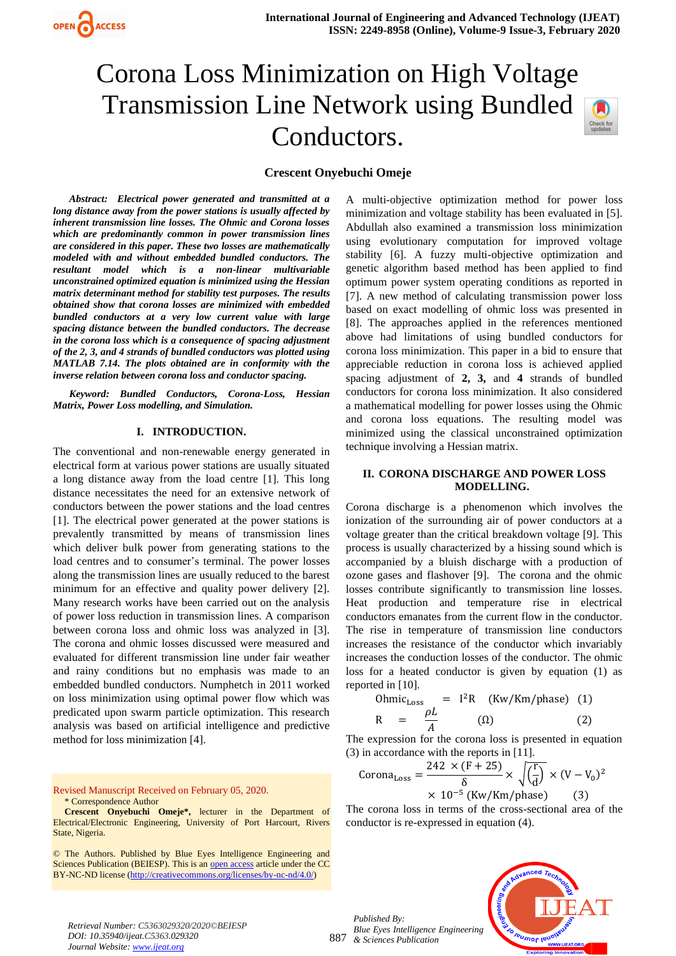# Corona Loss Minimization on High Voltage Transmission Line Network using Bundled Conductors.



# **Crescent Onyebuchi Omeje**

*Abstract: Electrical power generated and transmitted at a long distance away from the power stations is usually affected by inherent transmission line losses. The Ohmic and Corona losses which are predominantly common in power transmission lines are considered in this paper. These two losses are mathematically modeled with and without embedded bundled conductors. The resultant model which is a non-linear multivariable unconstrained optimized equation is minimized using the Hessian matrix determinant method for stability test purposes. The results obtained show that corona losses are minimized with embedded bundled conductors at a very low current value with large spacing distance between the bundled conductors. The decrease in the corona loss which is a consequence of spacing adjustment of the 2, 3, and 4 strands of bundled conductors was plotted using MATLAB 7.14. The plots obtained are in conformity with the inverse relation between corona loss and conductor spacing.* 

*Keyword: Bundled Conductors, Corona-Loss, Hessian Matrix, Power Loss modelling, and Simulation.*

### **I. INTRODUCTION.**

The conventional and non-renewable energy generated in electrical form at various power stations are usually situated a long distance away from the load centre [1]. This long distance necessitates the need for an extensive network of conductors between the power stations and the load centres [1]. The electrical power generated at the power stations is prevalently transmitted by means of transmission lines which deliver bulk power from generating stations to the load centres and to consumer's terminal. The power losses along the transmission lines are usually reduced to the barest minimum for an effective and quality power delivery [2]. Many research works have been carried out on the analysis of power loss reduction in transmission lines. A comparison between corona loss and ohmic loss was analyzed in [3]. The corona and ohmic losses discussed were measured and evaluated for different transmission line under fair weather and rainy conditions but no emphasis was made to an embedded bundled conductors. Numphetch in 2011 worked on loss minimization using optimal power flow which was predicated upon swarm particle optimization. This research analysis was based on artificial intelligence and predictive method for loss minimization [4].

Revised Manuscript Received on February 05, 2020. \* Correspondence Author

**Crescent Onyebuchi Omeje\*,** lecturer in the Department of Electrical/Electronic Engineering, University of Port Harcourt, Rivers State, Nigeria.

© The Authors. Published by Blue Eyes Intelligence Engineering and Sciences Publication (BEIESP). This is a[n open access](https://www.openaccess.nl/en/open-publications) article under the CC BY-NC-ND license [\(http://creativecommons.org/licenses/by-nc-nd/4.0/\)](http://creativecommons.org/licenses/by-nc-nd/4.0/)

A multi-objective optimization method for power loss minimization and voltage stability has been evaluated in [5]. Abdullah also examined a transmission loss minimization using evolutionary computation for improved voltage stability [6]. A fuzzy multi-objective optimization and genetic algorithm based method has been applied to find optimum power system operating conditions as reported in [7]. A new method of calculating transmission power loss based on exact modelling of ohmic loss was presented in [8]. The approaches applied in the references mentioned above had limitations of using bundled conductors for corona loss minimization. This paper in a bid to ensure that appreciable reduction in corona loss is achieved applied spacing adjustment of **2, 3,** and **4** strands of bundled conductors for corona loss minimization. It also considered a mathematical modelling for power losses using the Ohmic and corona loss equations. The resulting model was minimized using the classical unconstrained optimization technique involving a Hessian matrix.

# **II. CORONA DISCHARGE AND POWER LOSS MODELLING.**

Corona discharge is a phenomenon which involves the ionization of the surrounding air of power conductors at a voltage greater than the critical breakdown voltage [9]. This process is usually characterized by a hissing sound which is accompanied by a bluish discharge with a production of ozone gases and flashover [9]. The corona and the ohmic losses contribute significantly to transmission line losses. Heat production and temperature rise in electrical conductors emanates from the current flow in the conductor. The rise in temperature of transmission line conductors increases the resistance of the conductor which invariably increases the conduction losses of the conductor. The ohmic loss for a heated conductor is given by equation (1) as reported in [10].

Ohmic<sub>Loss</sub> = 
$$
I^2R
$$
 (Kw/Km/phase) (1)  
R =  $\frac{\rho L}{A}$  (Ω) (2)

The expression for the corona loss is presented in equation (3) in accordance with the reports in [11].

$$
Corona_{Loss} = \frac{242 \times (F + 25)}{\delta} \times \sqrt{\left(\frac{r}{d}\right)} \times (V - V_0)^2
$$
  
× 10<sup>-5</sup> (Kw/Km-phase) (3)

The corona loss in terms of the cross-sectional area of the conductor is re-expressed in equation (4).

887 *Published By: Blue Eyes Intelligence Engineering & Sciences Publication* 



*Retrieval Number: C5363029320/2020©BEIESP DOI: 10.35940/ijeat.C5363.029320 Journal Website[: www.ijeat.org](http://www.ijeat.org/)*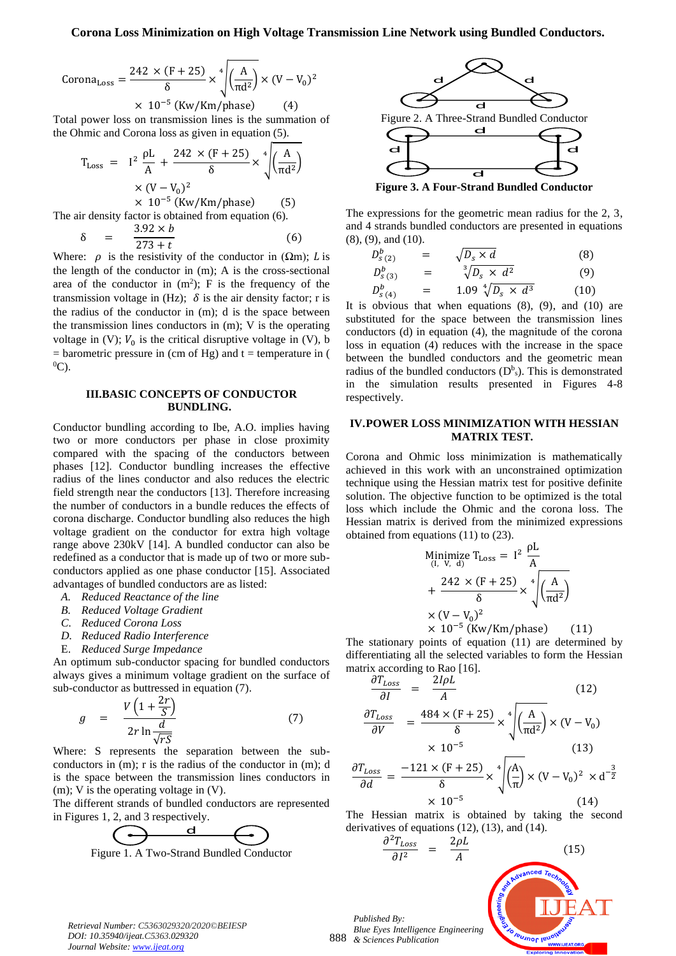$$
CoronaLoss = \frac{242 \times (F + 25)}{\delta} \times \sqrt[4]{\left(\frac{A}{\pi d^2}\right)} \times (V - V_0)^2
$$
  
× 10<sup>-5</sup> (Kw/Km/phase) (4)

Total power loss on transmission lines is the summation of the Ohmic and Corona loss as given in equation (5).

$$
T_{Loss} = I^2 \frac{\rho L}{A} + \frac{242 \times (F + 25)}{\delta} \times \sqrt[4]{\left(\frac{A}{\pi d^2}\right)}
$$
  
×  $(V - V_0)^2$   
× 10<sup>-5</sup> (Kw/Km/phase) (5)  
The air density factor is obtained from equation (6).  

$$
\delta = \frac{3.92 \times b}{273 + t}
$$
 (6)

Where:  $\rho$  is the resistivity of the conductor in ( $\Omega$ m); *L* is the length of the conductor in (m); A is the cross-sectional area of the conductor in  $(m^2)$ ; F is the frequency of the transmission voltage in (Hz);  $\delta$  is the air density factor; r is the radius of the conductor in (m); d is the space between the transmission lines conductors in (m); V is the operating voltage in (V);  $V_0$  is the critical disruptive voltage in (V), b  $=$  barometric pressure in (cm of Hg) and t  $=$  temperature in (  $^{0}C$ ).

# **III.BASIC CONCEPTS OF CONDUCTOR BUNDLING.**

Conductor bundling according to Ibe, A.O. implies having two or more conductors per phase in close proximity compared with the spacing of the conductors between phases [12]. Conductor bundling increases the effective radius of the lines conductor and also reduces the electric field strength near the conductors [13]. Therefore increasing the number of conductors in a bundle reduces the effects of corona discharge. Conductor bundling also reduces the high voltage gradient on the conductor for extra high voltage range above 230kV [14]. A bundled conductor can also be redefined as a conductor that is made up of two or more subconductors applied as one phase conductor [15]. Associated advantages of bundled conductors are as listed:

- *A. Reduced Reactance of the line*
- *B. Reduced Voltage Gradient*
- *C. Reduced Corona Loss*
- *D. Reduced Radio Interference*
- E. *Reduced Surge Impedance*

An optimum sub-conductor spacing for bundled conductors always gives a minimum voltage gradient on the surface of sub-conductor as buttressed in equation (7).

$$
g = \frac{V\left(1 + \frac{2r}{S}\right)}{2r\ln\frac{d}{\sqrt{rS}}}
$$
(7)

Where: S represents the separation between the subconductors in (m); r is the radius of the conductor in (m); d is the space between the transmission lines conductors in (m); V is the operating voltage in (V).

The different strands of bundled conductors are represented in Figures 1, 2, and 3 respectively.



Figure 1. A Two-Strand Bundled Conductor



**Figure 3. A Four-Strand Bundled Conductor**

The expressions for the geometric mean radius for the 2, 3, and 4 strands bundled conductors are presented in equations (8), (9), and (10).

$$
D_{s(2)}^b = \sqrt{D_s \times d}
$$
 (8)  
\n
$$
D_{s(2)}^b = \frac{3}{2} \sqrt{D_s \times d^2}
$$
 (9)

$$
D_{s(3)}^b = \sqrt[3]{D_s \times d^2} \tag{9}
$$

$$
D_{S(4)}^b = 1.09 \sqrt[4]{D_S \times d^3} \qquad (10)
$$

It is obvious that when equations  $(8)$ ,  $(9)$ , and  $(10)$  are substituted for the space between the transmission lines conductors (d) in equation (4), the magnitude of the corona loss in equation (4) reduces with the increase in the space between the bundled conductors and the geometric mean radius of the bundled conductors  $(D^b_s)$ . This is demonstrated in the simulation results presented in Figures 4-8 respectively.

## **IV.POWER LOSS MINIMIZATION WITH HESSIAN MATRIX TEST.**

Corona and Ohmic loss minimization is mathematically achieved in this work with an unconstrained optimization technique using the Hessian matrix test for positive definite solution. The objective function to be optimized is the total loss which include the Ohmic and the corona loss. The Hessian matrix is derived from the minimized expressions obtained from equations (11) to (23).

$$
\begin{aligned}\n\text{Minimize } \mathbf{T}_{\text{Loss}} &= \mathbf{I}^2 \frac{\rho \mathbf{L}}{\mathbf{A}} \\
&+ \frac{242 \times (\mathbf{F} + 25)}{\delta} \times \sqrt[4]{\left(\frac{\mathbf{A}}{\pi \mathbf{d}^2}\right)} \\
&\times (\mathbf{V} - \mathbf{V}_0)^2\n\end{aligned}
$$

× 10−5 (Kw/Km/phase) (11) The stationary points of equation (11) are determined by differentiating all the selected variables to form the Hessian matrix according to Rao [16].

$$
\frac{\partial T_{Loss}}{\partial I} = \frac{2I\rho L}{A}
$$
(12)  

$$
\partial T_{Loss} = 484 \times (F + 25) \left( \frac{4}{(A)} \right) \left( \frac{V}{N} \right)
$$

$$
\frac{\partial T_{Loss}}{\partial V} = \frac{404 \times (1 + 25)}{\delta} \times \sqrt{\left(\frac{A}{\pi d^2}\right)} \times (V - V_0)
$$
  
× 10<sup>-5</sup> (13)

$$
\frac{\partial T_{Loss}}{\partial d} = \frac{-121 \times (F + 25)}{\delta} \times \sqrt[4]{\left(\frac{A}{\pi}\right) \times (V - V_0)^2 \times d^{-\frac{3}{2}}}
$$

$$
\times 10^{-5}
$$
 (14)

The Hessian matrix is obtained by taking the second derivatives of equations (12), (13), and (14).  $2.7<sub>1</sub>$ 

$$
\frac{\partial^2 T_{Loss}}{\partial I^2} = \frac{2\rho L}{A}
$$
\n(15)\n  
\n*ed By:*\n*et By:*\n*est Intelligence Engineering*\n*so huyn or quon g g huyn or quon g h huyn or quon g h h h h huyn or quon g h h h h h h h h h h h h h h h h h h h h h h h h h h h h h h h h h h h h h h h h h h h h h h h h h h h h h h h h h h h h h h h h h h h h h h h h h h*

*Retrieval Number: C5363029320/2020©BEIESP DOI: 10.35940/ijeat.C5363.029320 Journal Website[: www.ijeat.org](http://www.ijeat.org/)*

888 *Blue Eyes Intelligence Engy English & Sciences Publication* 

 $\overline{\partial I^2}$ 

*Published By:*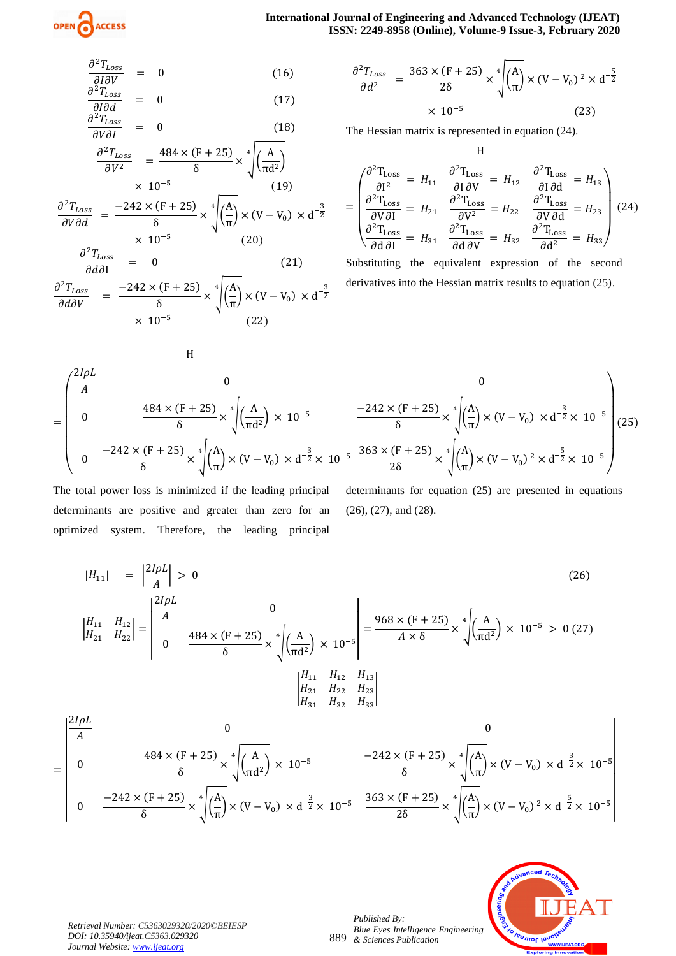$$
\frac{\partial^2 T_{Loss}}{\partial l \partial V} = 0
$$
\n(16)  
\n
$$
\frac{\partial^2 T_{Loss}}{\partial l \partial d} = 0
$$
\n(17)  
\n
$$
\frac{\partial^2 T_{Loss}}{\partial V \partial l} = 0
$$
\n(18)  
\n
$$
\frac{\partial^2 T_{loss}}{\partial V^2} = \frac{484 \times (F + 25)}{\delta} \times \sqrt[4]{\left(\frac{A}{\pi d^2}\right)}
$$
\n
$$
\times 10^{-5}
$$
\n(19)  
\n
$$
\frac{\partial^2 T_{Loss}}{\partial V \partial d} = \frac{-242 \times (F + 25)}{\delta} \times \sqrt[4]{\left(\frac{A}{\pi}\right)} \times (V - V_0) \times d^{-\frac{3}{2}}
$$
\n
$$
\times 10^{-5}
$$
\n(20)  
\n
$$
\frac{\partial^2 T_{Loss}}{\partial V \partial x} = 0
$$
\n(21)

 $\partial d\partial I$  $\partial^2 T_{Loss}$  $\frac{\partial d\partial V}{\partial d\partial V}$  =  $-242 \times (F + 25)$  $\frac{(F+25)}{\delta} \times \sqrt[4]{\left(\frac{A}{\pi}\right)^2}$  $\frac{4}{\sqrt{\pi}}\left(\frac{A}{\pi}\right) \times (V - V_0) \times d^{-\frac{3}{2}}$  $\times$  10<sup>-5</sup> (22)

H

$$
\frac{\partial^2 T_{Loss}}{\partial d^2} = \frac{363 \times (F + 25)}{28} \times \sqrt[4]{\left(\frac{A}{\pi}\right)} \times (V - V_0)^2 \times d^{-\frac{5}{2}}
$$
  
× 10<sup>-5</sup> (23)

H

The Hessian matrix is represented in equation (24).

$$
= \begin{pmatrix} \frac{\partial^2 T_{\text{Loss}}}{\partial I^2} = H_{11} & \frac{\partial^2 T_{\text{Loss}}}{\partial I \partial V} = H_{12} & \frac{\partial^2 T_{\text{Loss}}}{\partial I \partial d} = H_{13} \\ \frac{\partial^2 T_{\text{Loss}}}{\partial V \partial I} = H_{21} & \frac{\partial^2 T_{\text{Loss}}}{\partial V^2} = H_{22} & \frac{\partial^2 T_{\text{loss}}}{\partial V \partial d} = H_{23} \\ \frac{\partial^2 T_{\text{Loss}}}{\partial d \partial I} = H_{31} & \frac{\partial^2 T_{\text{loss}}}{\partial d \partial V} = H_{32} & \frac{\partial^2 T_{\text{loss}}}{\partial d^2} = H_{33} \end{pmatrix} (24)
$$

Substituting the equivalent expression of the second derivatives into the Hessian matrix results to equation (25).

$$
= \begin{pmatrix} \frac{2I\rho L}{A} & 0 & 0\\ 0 & \frac{484 \times (F + 25)}{\delta} \times \sqrt[4]{\left(\frac{A}{\pi d^2}\right)} \times 10^{-5} & \frac{-242 \times (F + 25)}{\delta} \times \sqrt[4]{\left(\frac{A}{\pi}\right)} \times (V - V_0) \times d^{-\frac{3}{2}} \times 10^{-5}\\ 0 & \frac{-242 \times (F + 25)}{\delta} \times \sqrt[4]{\left(\frac{A}{\pi}\right)} \times (V - V_0) \times d^{-\frac{3}{2}} \times 10^{-5} & \frac{363 \times (F + 25)}{2\delta} \times \sqrt[4]{\left(\frac{A}{\pi}\right)} \times (V - V_0)^2 \times d^{-\frac{5}{2}} \times 10^{-5} \end{pmatrix} (25)
$$

The total power loss is minimized if the leading principal determinants are positive and greater than zero for an optimized system. Therefore, the leading principal determinants for equation (25) are presented in equations (26), (27), and (28).

$$
|H_{11}| = \left|\frac{2I\rho L}{A}\right| > 0 \tag{26}
$$
\n
$$
\left|\begin{array}{cc}\nH_{11} & H_{12} \\
H_{21} & H_{22}\n\end{array}\right| = \left|\begin{array}{cc}\n\frac{2I\rho L}{A} & 0 \\
0 & \frac{484 \times (F + 25)}{\delta} \times \sqrt[4]{\frac{A}{\pi d^2}} \\
0 & \frac{484 \times (F + 25)}{\delta} \times \sqrt[4]{\frac{A}{\pi d^2}}\n\end{array}\right| \times 10^{-5} = \frac{968 \times (F + 25)}{A \times \delta} \times \sqrt[4]{\frac{A}{\pi d^2}} \times 10^{-5} > 0 \tag{27}
$$
\n
$$
\left|\begin{array}{cc}\nH_{11} & H_{12} & H_{13} \\
H_{21} & H_{22} & H_{23} \\
H_{31} & H_{32} & H_{33}\n\end{array}\right|
$$

$$
= \begin{bmatrix} \frac{24\mu}{A} & 0 & 0 \\ 0 & \frac{484 \times (F + 25)}{\delta} \times \sqrt[4]{\left(\frac{A}{\pi d^2}\right)} \times 10^{-5} & \frac{-242 \times (F + 25)}{\delta} \times \sqrt[4]{\left(\frac{A}{\pi}\right)} \times (V - V_0) \times d^{-\frac{3}{2}} \times 10^{-5} \\ 0 & \frac{-242 \times (F + 25)}{\delta} \times \sqrt[4]{\left(\frac{A}{\pi}\right)} \times (V - V_0) \times d^{-\frac{3}{2}} \times 10^{-5} & \frac{363 \times (F + 25)}{2\delta} \times \sqrt[4]{\left(\frac{A}{\pi}\right)} \times (V - V_0)^2 \times d^{-\frac{5}{2}} \times 10^{-5} \end{bmatrix}
$$



*Retrieval Number: C5363029320/2020©BEIESP DOI: 10.35940/ijeat.C5363.029320 Journal Website[: www.ijeat.org](http://www.ijeat.org/)*

889 *Published By: Blue Eyes Intelligence Engineering & Sciences Publication*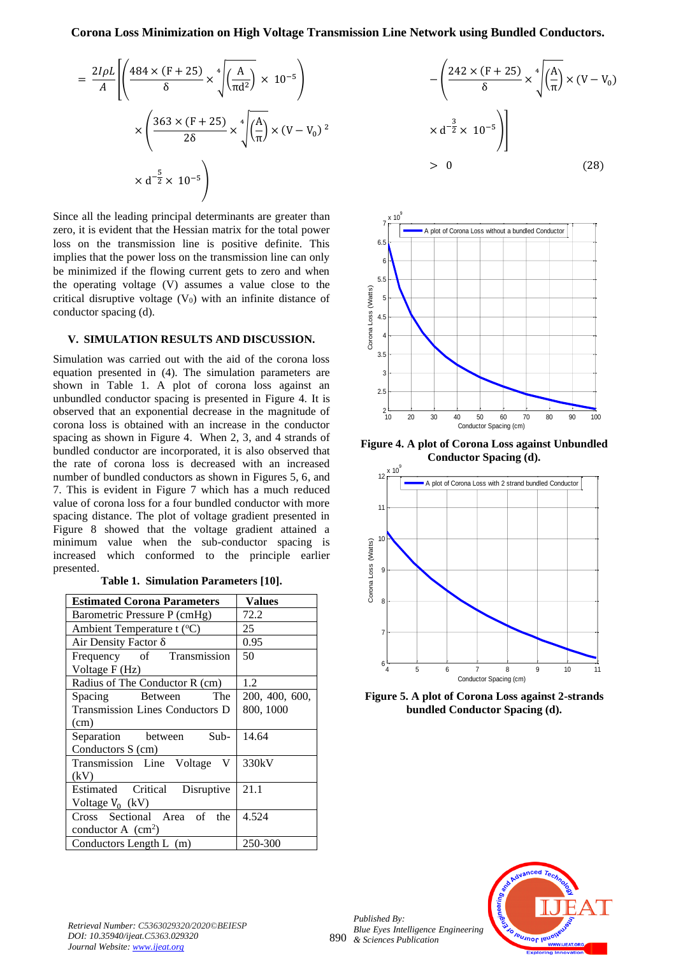$$
= \frac{2I\rho L}{A} \left[ \left( \frac{484 \times (F + 25)}{\delta} \times \sqrt[4]{\left( \frac{A}{\pi d^2} \right)} \times 10^{-5} \right) \times \left( \frac{363 \times (F + 25)}{2\delta} \times \sqrt[4]{\left( \frac{A}{\pi} \right)} \times (V - V_0)^2 \times d^{-\frac{5}{2}} \times 10^{-5} \right) \right]
$$

Since all the leading principal determinants are greater than zero, it is evident that the Hessian matrix for the total power loss on the transmission line is positive definite. This implies that the power loss on the transmission line can only be minimized if the flowing current gets to zero and when the operating voltage (V) assumes a value close to the critical disruptive voltage  $(V_0)$  with an infinite distance of conductor spacing (d).

# **V. SIMULATION RESULTS AND DISCUSSION.**

Simulation was carried out with the aid of the corona loss equation presented in (4). The simulation parameters are shown in Table 1. A plot of corona loss against an unbundled conductor spacing is presented in Figure 4. It is observed that an exponential decrease in the magnitude of corona loss is obtained with an increase in the conductor spacing as shown in Figure 4. When 2, 3, and 4 strands of bundled conductor are incorporated, it is also observed that the rate of corona loss is decreased with an increased number of bundled conductors as shown in Figures 5, 6, and 7. This is evident in Figure 7 which has a much reduced value of corona loss for a four bundled conductor with more spacing distance. The plot of voltage gradient presented in Figure 8 showed that the voltage gradient attained a minimum value when the sub-conductor spacing is increased which conformed to the principle earlier presented.

**Table 1. Simulation Parameters [10].**

| <b>Estimated Corona Parameters</b>     | <b>Values</b>  |
|----------------------------------------|----------------|
| Barometric Pressure P (cmHg)           | 72.2           |
| Ambient Temperature t $({}^{\circ}C)$  | 25             |
| Air Density Factor $\delta$            | 0.95           |
| Frequency of Transmission              | 50             |
| Voltage F (Hz)                         |                |
| Radius of The Conductor R (cm)         | 1.2            |
| The<br>Spacing Between                 | 200, 400, 600, |
| <b>Transmission Lines Conductors D</b> | 800, 1000      |
| (cm)                                   |                |
| Separation between Sub-                | 14.64          |
| Conductors S (cm)                      |                |
| Transmission Line Voltage<br>V         | 330kV          |
| (kV)                                   |                |
| Estimated Critical Disruptive          | 21.1           |
| Voltage $V_0$ (kV)                     |                |
| Cross Sectional Area of<br>the         | 4.524          |
| conductor A $(cm2)$                    |                |
| Conductors Length L (m)                | 250-300        |

$$
-\left(\frac{242 \times (\text{F} + 25)}{\delta} \times \sqrt[4]{\left(\frac{\text{A}}{\pi}\right)} \times (\text{V} - \text{V}_0)
$$

$$
\times \text{d}^{-\frac{3}{2}} \times 10^{-5}\right)\right]
$$

$$
> 0
$$
(28)



**Figure 4. A plot of Corona Loss against Unbundled Conductor Spacing (d).**



**Figure 5. A plot of Corona Loss against 2-strands bundled Conductor Spacing (d).**



*Retrieval Number: C5363029320/2020©BEIESP DOI: 10.35940/ijeat.C5363.029320 Journal Website[: www.ijeat.org](http://www.ijeat.org/)*